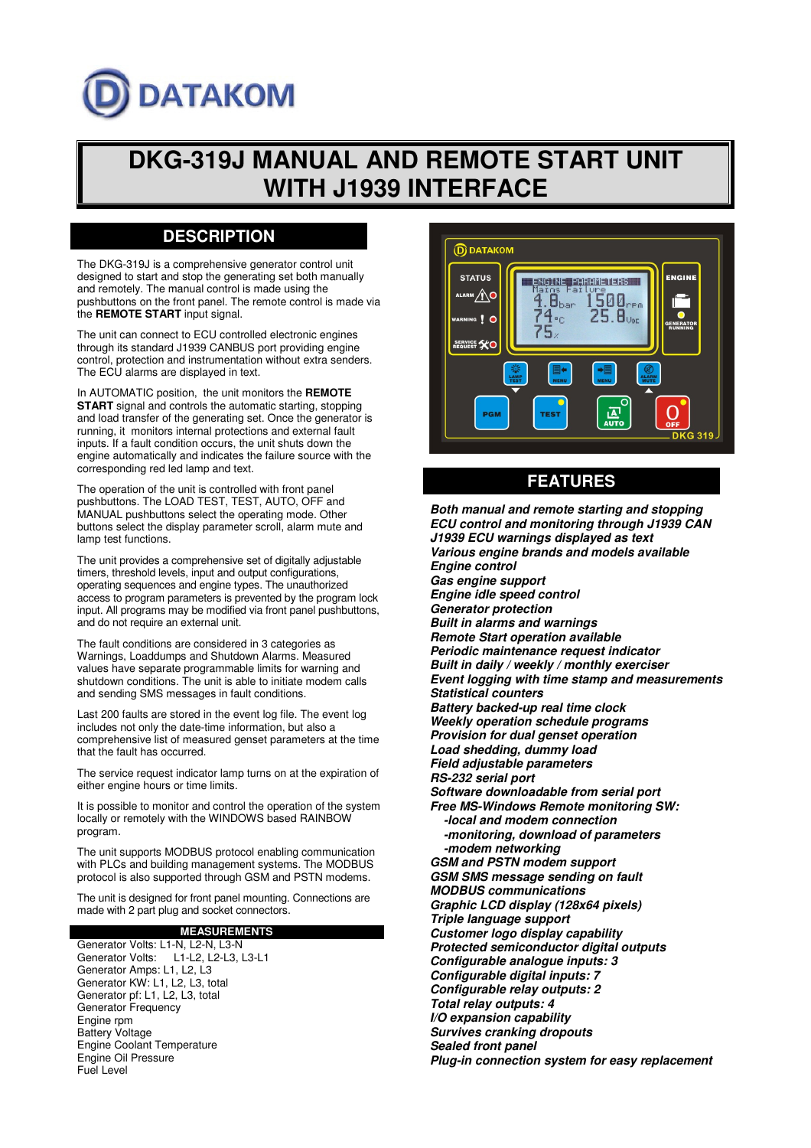# **DATAKOM**

## **DKG-319J MANUAL AND REMOTE START UNIT WITH J1939 INTERFACE**

## **DESCRIPTION**

The DKG-319J is a comprehensive generator control unit designed to start and stop the generating set both manually and remotely. The manual control is made using the pushbuttons on the front panel. The remote control is made via the **REMOTE START** input signal.

The unit can connect to ECU controlled electronic engines through its standard J1939 CANBUS port providing engine control, protection and instrumentation without extra senders. The ECU alarms are displayed in text.

In AUTOMATIC position, the unit monitors the **REMOTE START** signal and controls the automatic starting, stopping and load transfer of the generating set. Once the generator is running, it monitors internal protections and external fault inputs. If a fault condition occurs, the unit shuts down the engine automatically and indicates the failure source with the corresponding red led lamp and text.

The operation of the unit is controlled with front panel pushbuttons. The LOAD TEST, TEST, AUTO, OFF and MANUAL pushbuttons select the operating mode. Other buttons select the display parameter scroll, alarm mute and lamp test functions.

The unit provides a comprehensive set of digitally adjustable timers, threshold levels, input and output configurations, operating sequences and engine types. The unauthorized access to program parameters is prevented by the program lock input. All programs may be modified via front panel pushbuttons, and do not require an external unit.

The fault conditions are considered in 3 categories as Warnings, Loaddumps and Shutdown Alarms. Measured values have separate programmable limits for warning and shutdown conditions. The unit is able to initiate modem calls and sending SMS messages in fault conditions.

Last 200 faults are stored in the event log file. The event log includes not only the date-time information, but also a comprehensive list of measured genset parameters at the time that the fault has occurred.

The service request indicator lamp turns on at the expiration of either engine hours or time limits.

It is possible to monitor and control the operation of the system locally or remotely with the WINDOWS based RAINBOW program.

The unit supports MODBUS protocol enabling communication with PLCs and building management systems. The MODBUS protocol is also supported through GSM and PSTN modems.

The unit is designed for front panel mounting. Connections are made with 2 part plug and socket connectors.

**MEASUREMENTS** Generator Volts: L1-N, L2-N, L3-N<br>Generator Volts: L1-L2, L2-L3, I L1-L2, L2-L3, L3-L1 Generator Amps: L1, L2, L3 Generator KW: L1, L2, L3, total Generator pf: L1, L2, L3, total Generator Frequency Engine rpm Battery Voltage Engine Coolant Temperature Engine Oil Pressure Fuel Level



## **FEATURES**

**Both manual and remote starting and stopping ECU control and monitoring through J1939 CAN J1939 ECU warnings displayed as text Various engine brands and models available Engine control Gas engine support Engine idle speed control Generator protection Built in alarms and warnings Remote Start operation available Periodic maintenance request indicator Built in daily / weekly / monthly exerciser Event logging with time stamp and measurements Statistical counters Battery backed-up real time clock Weekly operation schedule programs Provision for dual genset operation Load shedding, dummy load Field adjustable parameters RS-232 serial port Software downloadable from serial port Free MS-Windows Remote monitoring SW: -local and modem connection -monitoring, download of parameters -modem networking GSM and PSTN modem support GSM SMS message sending on fault MODBUS communications Graphic LCD display (128x64 pixels) Triple language support Customer logo display capability Protected semiconductor digital outputs Configurable analogue inputs: 3 Configurable digital inputs: 7 Configurable relay outputs: 2 Total relay outputs: 4 I/O expansion capability Survives cranking dropouts Sealed front panel Plug-in connection system for easy replacement**